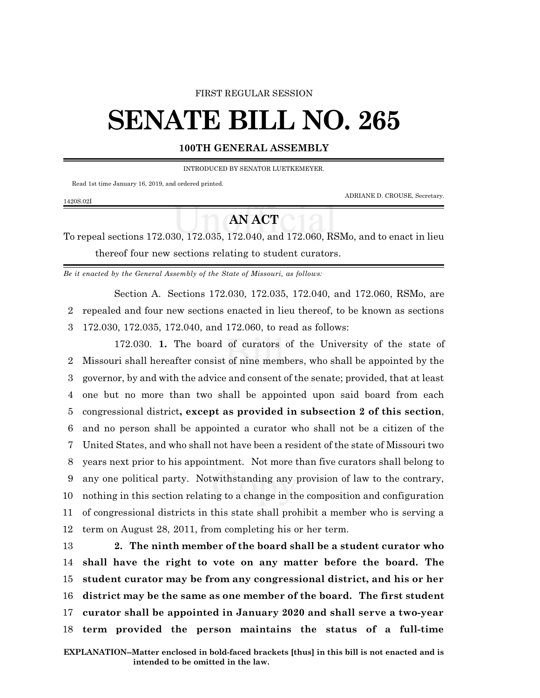## FIRST REGULAR SESSION

## **SENATE BILL NO. 265**

## **100TH GENERAL ASSEMBLY**

INTRODUCED BY SENATOR LUETKEMEYER.

Read 1st time January 16, 2019, and ordered printed.

1420S.02I

ADRIANE D. CROUSE, Secretary.

## **AN ACT**

To repeal sections 172.030, 172.035, 172.040, and 172.060, RSMo, and to enact in lieu thereof four new sections relating to student curators.

*Be it enacted by the General Assembly of the State of Missouri, as follows:*

Section A. Sections 172.030, 172.035, 172.040, and 172.060, RSMo, are 2 repealed and four new sections enacted in lieu thereof, to be known as sections 3 172.030, 172.035, 172.040, and 172.060, to read as follows:

172.030. **1.** The board of curators of the University of the state of Missouri shall hereafter consist of nine members, who shall be appointed by the governor, by and with the advice and consent of the senate; provided, that at least one but no more than two shall be appointed upon said board from each congressional district**, except as provided in subsection 2 of this section**, and no person shall be appointed a curator who shall not be a citizen of the United States, and who shall not have been a resident of the state of Missouri two years next prior to his appointment. Not more than five curators shall belong to any one political party. Notwithstanding any provision of law to the contrary, nothing in this section relating to a change in the composition and configuration of congressional districts in this state shall prohibit a member who is serving a term on August 28, 2011, from completing his or her term.

 **2. The ninth member of the board shall be a student curator who shall have the right to vote on any matter before the board. The student curator may be from any congressional district, and his or her district may be the same as one member of the board. The first student curator shall be appointed in January 2020 and shall serve a two-year term provided the person maintains the status of a full-time**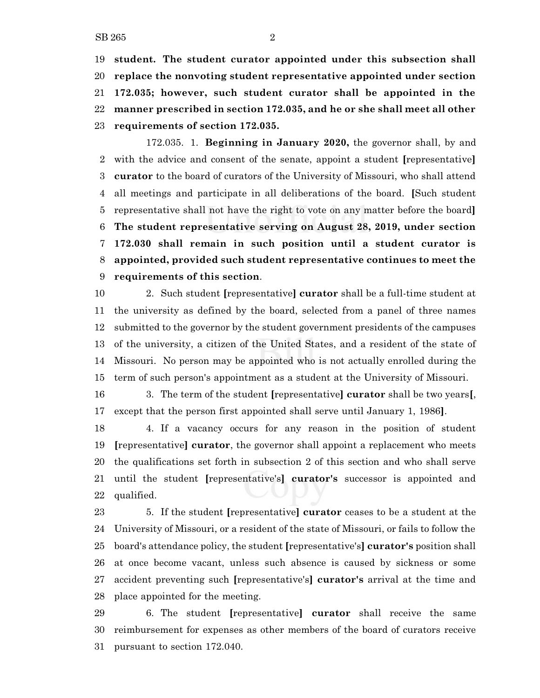**student. The student curator appointed under this subsection shall replace the nonvoting student representative appointed under section 172.035; however, such student curator shall be appointed in the manner prescribed in section 172.035, and he or she shall meet all other requirements of section 172.035.**

172.035. 1. **Beginning in January 2020,** the governor shall, by and with the advice and consent of the senate, appoint a student **[**representative**] curator** to the board of curators of the University of Missouri, who shall attend all meetings and participate in all deliberations of the board. **[**Such student representative shall not have the right to vote on any matter before the board**] The student representative serving on August 28, 2019, under section 172.030 shall remain in such position until a student curator is appointed, provided such student representative continues to meet the requirements of this section**.

 2. Such student **[**representative**] curator** shall be a full-time student at the university as defined by the board, selected from a panel of three names submitted to the governor by the student government presidents of the campuses of the university, a citizen of the United States, and a resident of the state of Missouri. No person may be appointed who is not actually enrolled during the term of such person's appointment as a student at the University of Missouri.

 3. The term of the student **[**representative**] curator** shall be two years**[**, except that the person first appointed shall serve until January 1, 1986**]**.

 4. If a vacancy occurs for any reason in the position of student **[**representative**] curator**, the governor shall appoint a replacement who meets the qualifications set forth in subsection 2 of this section and who shall serve until the student **[**representative's**] curator's** successor is appointed and qualified.

 5. If the student **[**representative**] curator** ceases to be a student at the University of Missouri, or a resident of the state of Missouri, or fails to follow the board's attendance policy, the student **[**representative's**] curator's** position shall at once become vacant, unless such absence is caused by sickness or some accident preventing such **[**representative's**] curator's** arrival at the time and place appointed for the meeting.

 6. The student **[**representative**] curator** shall receive the same reimbursement for expenses as other members of the board of curators receive pursuant to section 172.040.